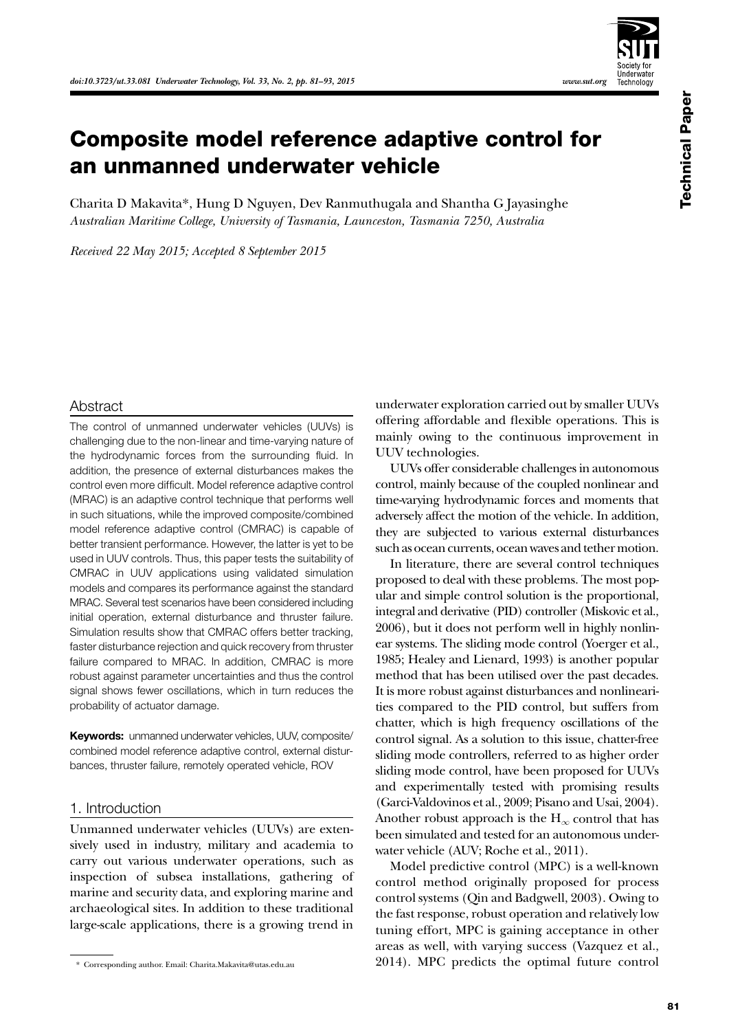

# Composite model reference adaptive control for an unmanned underwater vehicle

Charita D Makavita\*, Hung D Nguyen, Dev Ranmuthugala and Shantha G Jayasinghe *Australian Maritime College, University of Tasmania, Launceston, Tasmania 7250, Australia*

*Received 22 May 2015; Accepted 8 September 2015*

## Abstract

The control of unmanned underwater vehicles (UUVs) is challenging due to the non-linear and time-varying nature of the hydrodynamic forces from the surrounding fluid. In addition, the presence of external disturbances makes the control even more difficult. Model reference adaptive control (MRAC) is an adaptive control technique that performs well in such situations, while the improved composite/combined model reference adaptive control (CMRAC) is capable of better transient performance. However, the latter is yet to be used in UUV controls. Thus, this paper tests the suitability of CMRAC in UUV applications using validated simulation models and compares its performance against the standard MRAC. Several test scenarios have been considered including initial operation, external disturbance and thruster failure. Simulation results show that CMRAC offers better tracking, faster disturbance rejection and quick recovery from thruster failure compared to MRAC. In addition, CMRAC is more robust against parameter uncertainties and thus the control signal shows fewer oscillations, which in turn reduces the probability of actuator damage.

**Keywords:** unmanned underwater vehicles, UUV, composite/ combined model reference adaptive control, external disturbances, thruster failure, remotely operated vehicle, ROV

# 1. Introduction

Unmanned underwater vehicles (UUVs) are extensively used in industry, military and academia to carry out various underwater operations, such as inspection of subsea installations, gathering of marine and security data, and exploring marine and archaeological sites. In addition to these traditional large-scale applications, there is a growing trend in underwater exploration carried out by smaller UUVs offering affordable and flexible operations. This is mainly owing to the continuous improvement in UUV technologies.

UUVs offer considerable challenges in autonomous control, mainly because of the coupled nonlinear and time-varying hydrodynamic forces and moments that adversely affect the motion of the vehicle. In addition, they are subjected to various external disturbances such as ocean currents, ocean waves and tether motion.

In literature, there are several control techniques proposed to deal with these problems. The most popular and simple control solution is the proportional, integral and derivative (PID) controller (Miskovic et al., 2006), but it does not perform well in highly nonlinear systems. The sliding mode control (Yoerger et al., 1985; Healey and Lienard, 1993) is another popular method that has been utilised over the past decades. It is more robust against disturbances and nonlinearities compared to the PID control, but suffers from chatter, which is high frequency oscillations of the control signal. As a solution to this issue, chatter-free sliding mode controllers, referred to as higher order sliding mode control, have been proposed for UUVs and experimentally tested with promising results (Garci-Valdovinos et al., 2009; Pisano and Usai, 2004). Another robust approach is the  $H_{\infty}$  control that has been simulated and tested for an autonomous underwater vehicle (AUV; Roche et al., 2011).

Model predictive control (MPC) is a well-known control method originally proposed for process control systems (Qin and Badgwell, 2003). Owing to the fast response, robust operation and relatively low tuning effort, MPC is gaining acceptance in other areas as well, with varying success (Vazquez et al., 2014). MPC predicts the optimal future control

<sup>\*</sup> Corresponding author. Email: Charita.Makavita@utas.edu.au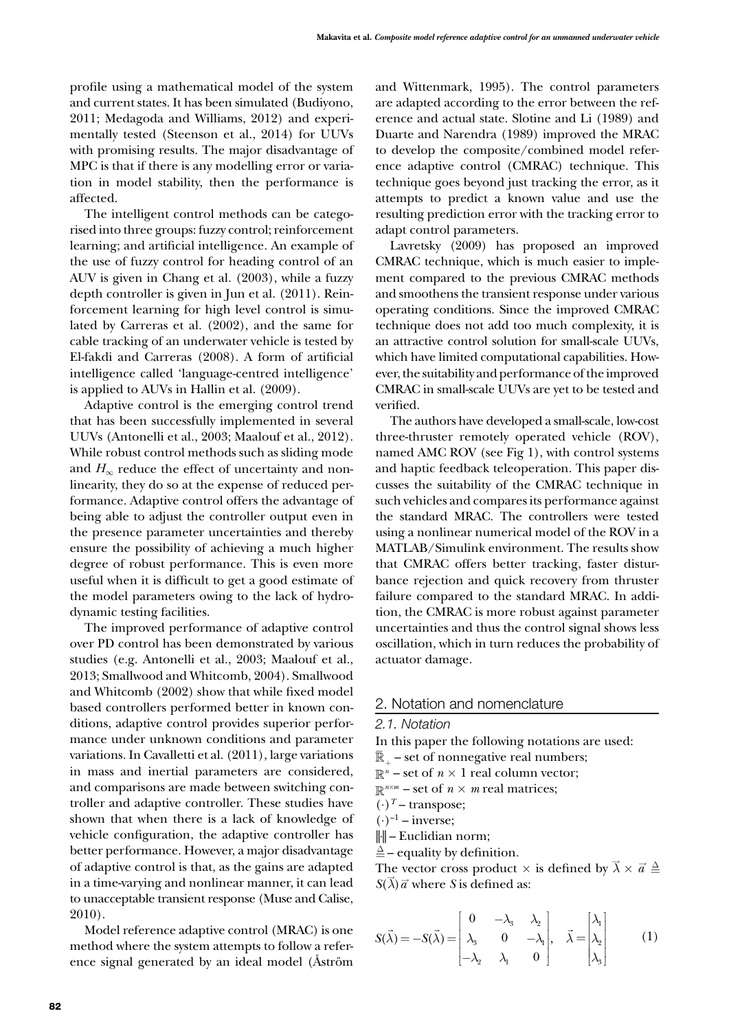profile using a mathematical model of the system and current states. It has been simulated (Budiyono, 2011; Medagoda and Williams, 2012) and experimentally tested (Steenson et al., 2014) for UUVs with promising results. The major disadvantage of MPC is that if there is any modelling error or variation in model stability, then the performance is affected.

The intelligent control methods can be categorised into three groups: fuzzy control; reinforcement learning; and artificial intelligence. An example of the use of fuzzy control for heading control of an AUV is given in Chang et al. (2003), while a fuzzy depth controller is given in Jun et al. (2011). Reinforcement learning for high level control is simulated by Carreras et al. (2002), and the same for cable tracking of an underwater vehicle is tested by El-fakdi and Carreras (2008). A form of artificial intelligence called 'language-centred intelligence' is applied to AUVs in Hallin et al. (2009).

Adaptive control is the emerging control trend that has been successfully implemented in several UUVs (Antonelli et al., 2003; Maalouf et al., 2012). While robust control methods such as sliding mode and  $H_{\infty}$  reduce the effect of uncertainty and nonlinearity, they do so at the expense of reduced performance. Adaptive control offers the advantage of being able to adjust the controller output even in the presence parameter uncertainties and thereby ensure the possibility of achieving a much higher degree of robust performance. This is even more useful when it is difficult to get a good estimate of the model parameters owing to the lack of hydrodynamic testing facilities.

The improved performance of adaptive control over PD control has been demonstrated by various studies (e.g. Antonelli et al., 2003; Maalouf et al., 2013; Smallwood and Whitcomb, 2004). Smallwood and Whitcomb (2002) show that while fixed model based controllers performed better in known conditions, adaptive control provides superior performance under unknown conditions and parameter variations. In Cavalletti et al. (2011), large variations in mass and inertial parameters are considered, and comparisons are made between switching controller and adaptive controller. These studies have shown that when there is a lack of knowledge of vehicle configuration, the adaptive controller has better performance. However, a major disadvantage of adaptive control is that, as the gains are adapted in a time-varying and nonlinear manner, it can lead to unacceptable transient response (Muse and Calise, 2010).

Model reference adaptive control (MRAC) is one method where the system attempts to follow a reference signal generated by an ideal model (Åström and Wittenmark, 1995). The control parameters are adapted according to the error between the reference and actual state. Slotine and Li (1989) and Duarte and Narendra (1989) improved the MRAC to develop the composite/combined model reference adaptive control (CMRAC) technique. This technique goes beyond just tracking the error, as it attempts to predict a known value and use the resulting prediction error with the tracking error to adapt control parameters.

Lavretsky (2009) has proposed an improved CMRAC technique, which is much easier to implement compared to the previous CMRAC methods and smoothens the transient response under various operating conditions. Since the improved CMRAC technique does not add too much complexity, it is an attractive control solution for small-scale UUVs, which have limited computational capabilities. However, the suitability and performance of the improved CMRAC in small-scale UUVs are yet to be tested and verified.

The authors have developed a small-scale, low-cost three-thruster remotely operated vehicle (ROV), named AMC ROV (see Fig 1), with control systems and haptic feedback teleoperation. This paper discusses the suitability of the CMRAC technique in such vehicles and compares its performance against the standard MRAC. The controllers were tested using a nonlinear numerical model of the ROV in a MATLAB/Simulink environment. The results show that CMRAC offers better tracking, faster disturbance rejection and quick recovery from thruster failure compared to the standard MRAC. In addition, the CMRAC is more robust against parameter uncertainties and thus the control signal shows less oscillation, which in turn reduces the probability of actuator damage.

## 2. Notation and nomenclature

#### *2.1. Notation*

In this paper the following notations are used:

- $\overline{\mathbb{R}}$  set of nonnegative real numbers;
- $\mathbb{R}^n$  set of  $n \times 1$  real column vector;
- $\mathbb{R}^{n \times m}$  set of  $n \times m$  real matrices;
- $(\cdot)^T$  transpose;
- $(\cdot)^{-1}$  inverse;
- ||⋅|| Euclidian norm;
- $\triangleq$  equality by definition.
- The vector cross product  $\times$  is defined by  $\vec{\lambda} \times \vec{a} \stackrel{\Delta}{=}$  $S(\vec{\lambda})\vec{a}$  where *S* is defined as:

$$
S(\vec{\lambda}) = -S(\vec{\lambda}) = \begin{bmatrix} 0 & -\lambda_3 & \lambda_2 \\ \lambda_3 & 0 & -\lambda_1 \\ -\lambda_2 & \lambda_1 & 0 \end{bmatrix}, \quad \vec{\lambda} = \begin{bmatrix} \lambda_1 \\ \lambda_2 \\ \lambda_3 \end{bmatrix}
$$
 (1)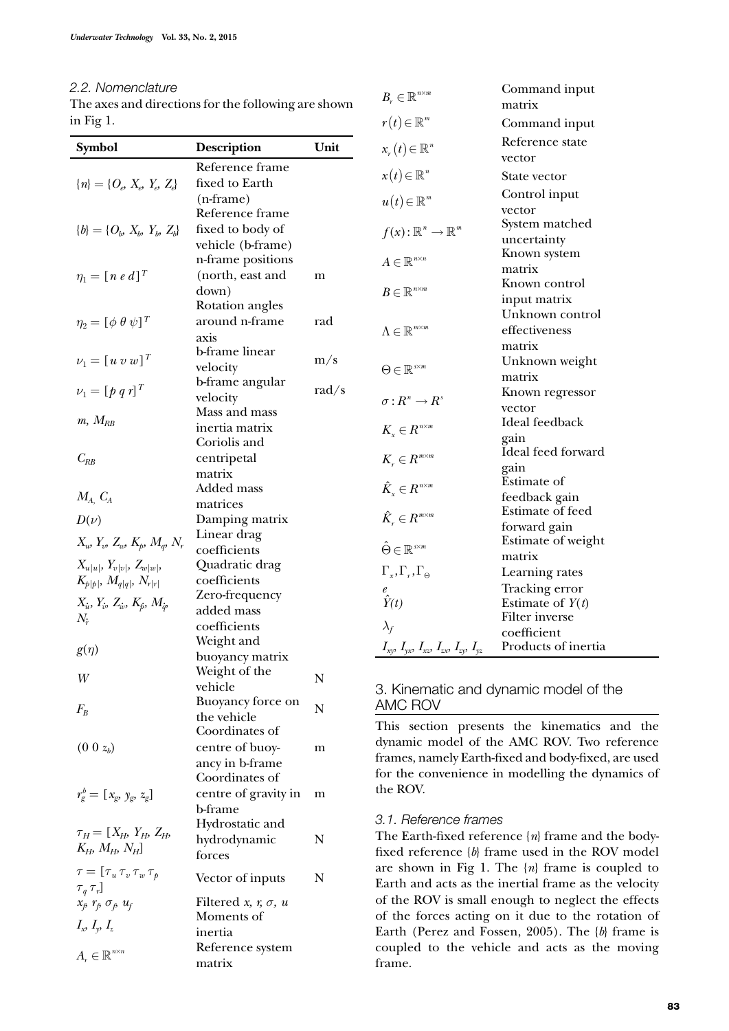# *2.2. Nomenclature*

The axes and directions for the following are shown in Fig 1.

| Symbol                                                             | <b>Description</b>                 | Unit  | $x_{r}(t) \in \mathbb{R}^{n}$                                          |
|--------------------------------------------------------------------|------------------------------------|-------|------------------------------------------------------------------------|
|                                                                    | Reference frame                    |       |                                                                        |
| ${n} = {O_e, X_e, Y_e, Z_e}$                                       | fixed to Earth                     |       | $x(t) \in \mathbb{R}^n$                                                |
|                                                                    | $(n-frame)$                        |       | $u(t) \in \mathbb{R}^m$                                                |
|                                                                    | Reference frame                    |       |                                                                        |
| ${b} = {O_b, X_b, Y_b, Z_b}$                                       | fixed to body of                   |       | $f(x): \mathbb{R}^n \to \mathbb{R}^m$                                  |
|                                                                    | vehicle (b-frame)                  |       |                                                                        |
|                                                                    | n-frame positions                  |       | $A \in \mathbb{R}^{n \times n}$                                        |
| $\eta_1 = [n \; e \; d]^T$                                         | (north, east and                   | m     |                                                                        |
|                                                                    | down)                              |       | $B\in\mathbb{R}^{n\times m}$                                           |
| $\eta_2 = [\phi \ \theta \ \psi]^T$                                | Rotation angles<br>around n-frame  | rad   |                                                                        |
|                                                                    | axis                               |       | $\Lambda \in \mathbb{R}^{m \times m}$                                  |
|                                                                    | b-frame linear                     |       |                                                                        |
| $\nu_1 = [u v w]^T$                                                | velocity                           | m/s   | $\Theta \in \mathbb{R}^{s \times m}$                                   |
|                                                                    | b-frame angular                    |       |                                                                        |
| $\nu_1 = [p q r]^T$                                                | velocity                           | rad/s | $\sigma: R^n \to R^s$                                                  |
|                                                                    | Mass and mass                      |       |                                                                        |
| $m, M_{RB}$                                                        | inertia matrix                     |       | $K_{\scriptscriptstyle x} \in R^{\scriptscriptstyle n \times m}$       |
|                                                                    | Coriolis and                       |       |                                                                        |
| $C_{RB}$                                                           | centripetal                        |       | $K_{r} \in R^{m \times m}$                                             |
|                                                                    | matrix                             |       |                                                                        |
| $M_A$ , $C_A$                                                      | Added mass                         |       | $\hat{K}_{\scriptscriptstyle x} \in R^{\scriptscriptstyle n \times m}$ |
|                                                                    | matrices                           |       |                                                                        |
| $D(\nu)$                                                           | Damping matrix                     |       | $\hat{K}_{\scriptscriptstyle n} \in R^{\scriptscriptstyle m \times m}$ |
| $X_w$ , $Y_w$ , $Z_w$ , $K_p$ , $M_q$ , $N_r$                      | Linear drag<br>coefficients        |       | $\hat{\Theta} \in \mathbb{R}^{s \times m}$                             |
| $X_{u u }, Y_{v v }, Z_{w w },$                                    | Quadratic drag                     |       |                                                                        |
| $K_{p p }, M_{q q }, N_{r r }$                                     | coefficients                       |       | $\Gamma_{r}$ , $\Gamma_{r}$ , $\Gamma_{\Theta}$                        |
|                                                                    | Zero-frequency                     |       | $\hat{Y}(t)$                                                           |
| $X_{\dot{u}}, Y_{\dot{v}}, Z_{\dot{w}}, K_{\dot{p}}, M_{\dot{q}},$ | added mass                         |       |                                                                        |
| $N_{\dot{r}}$                                                      | coefficients                       |       | $\lambda_f$                                                            |
|                                                                    | Weight and                         |       |                                                                        |
| $g(\eta)$                                                          | buoyancy matrix                    |       | $I_{xy}, I_{yx}, I_{xx}, I_{zx}, I_{zy},$                              |
| W                                                                  | Weight of the                      | N     |                                                                        |
|                                                                    | vehicle                            |       | 3. Kinematic ar                                                        |
| $F_B$                                                              | Buoyancy force on                  | N     | <b>AMC ROV</b>                                                         |
|                                                                    | the vehicle<br>Coordinates of      |       | This section pr                                                        |
| $(0 0 z_b)$                                                        |                                    |       | dynamic model                                                          |
|                                                                    | centre of buoy-<br>ancy in b-frame | m     | frames, namely E:                                                      |
|                                                                    | Coordinates of                     |       | for the convenier                                                      |
| $r_g^b = [x_g, y_g, z_g]$                                          | centre of gravity in               | m     | the ROV.                                                               |
|                                                                    | b-frame                            |       |                                                                        |
|                                                                    | Hydrostatic and                    |       | 3.1. Reference fr                                                      |
| $\tau_{H} = [X_{H}, Y_{H}, Z_{H},$                                 | hydrodynamic                       | N     | The Earth-fixed                                                        |
| $K_H$ , $M_H$ , $N_H$ ]                                            | forces                             |       | fixed reference {                                                      |
| $\tau = [\tau_u \tau_v \tau_w \tau_p$                              |                                    | N     | are shown in Fig                                                       |
| $\tau_q \tau_r]$                                                   | Vector of inputs                   |       | Earth and acts as                                                      |
| $x_f$ , $r_f$ , $\sigma_f$ , $u_f$                                 | Filtered x, $r, \sigma, u$         |       | of the ROV is sn                                                       |
| $I_x, I_y, I_z$                                                    | Moments of                         |       | of the forces act                                                      |
|                                                                    | inertia                            |       | Earth (Perez and                                                       |
| $A_r \in \mathbb{R}^{n \times n}$                                  | Reference system                   |       | coupled to the                                                         |
|                                                                    | matrix                             |       | frame.                                                                 |

|                                                                  | ніаніх                  |
|------------------------------------------------------------------|-------------------------|
| $r(t) \in \mathbb{R}^m$                                          | Command input           |
| $x_r(t) \in \mathbb{R}^n$                                        | Reference state         |
|                                                                  | vector                  |
| $x(t) \in \mathbb{R}^n$                                          | State vector            |
| $u(t) \in \mathbb{R}^m$                                          | Control input           |
|                                                                  | vector                  |
| $f(x): \mathbb{R}^n \to \mathbb{R}^m$                            | System matched          |
|                                                                  | uncertainty             |
| $A \in \mathbb{R}^{n \times n}$                                  | Known system            |
|                                                                  | matrix                  |
| $B\in\mathbb{R}^{n\times m}$                                     | Known control           |
|                                                                  | input matrix            |
|                                                                  | Unknown control         |
| $\Lambda \in \mathbb{R}^{m \times m}$                            | effectiveness           |
|                                                                  | matrix                  |
|                                                                  | Unknown weight          |
| $\Theta \in \mathbb{R}^{s \times m}$                             | matrix                  |
|                                                                  | Known regressor         |
| $\sigma: R^n \to R^s$                                            | vector                  |
|                                                                  | Ideal feedback          |
| $K_{\scriptscriptstyle x} \in R^{\scriptscriptstyle n \times m}$ | gain                    |
|                                                                  | Ideal feed forward      |
| $K_{\scriptscriptstyle r} \in R^{\scriptscriptstyle m \times m}$ | gain                    |
|                                                                  | Estimate of             |
| $\hat{K}_x \in R^{n \times m}$                                   | feedback gain           |
| $\hat{K}_{r} \in R^{m \times m}$                                 | <b>Estimate of feed</b> |
|                                                                  | forward gain            |
|                                                                  | Estimate of weight      |
| $\hat{\Theta} \in \mathbb{R}^{s \times m}$                       | matrix                  |
| $\Gamma_{x}, \Gamma_{r}, \Gamma_{\Theta}$                        | Learning rates          |
|                                                                  | Tracking error          |
| $\hat{Y}(t)$                                                     | Estimate of $Y(t)$      |
|                                                                  | <b>Filter</b> inverse   |
| $\lambda_f$                                                      | coefficient             |
| $I_{xy}, I_{yx}, I_{xz}, I_{zx}, I_{zy}, I_{yz}$                 | Products of inertia     |

Command input

matrix

 $B_r \in \mathbb{R}^{n \times m}$ 

# ad dynamic model of the

resents the kinematics and the of the AMC ROV. Two reference arth-fixed and body-fixed, are used nce in modelling the dynamics of

#### *3.1. Reference frames*

reference  ${n}$  frame and the body- ${b}$  frame used in the ROV model  $g \in \{1. \text{ The } \{n\} \text{ frame is coupled to }$ s the inertial frame as the velocity nall enough to neglect the effects ting on it due to the rotation of d Fossen, 2005). The  ${b}$  frame is vehicle and acts as the moving frame.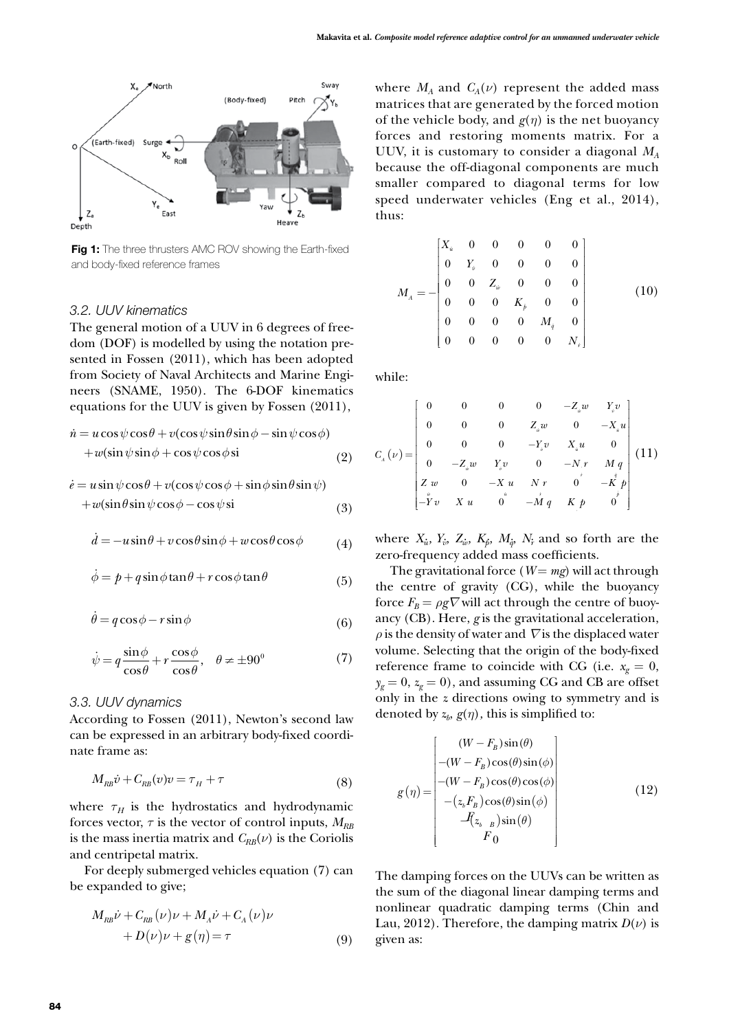

**Fig 1:** The three thrusters AMC ROV showing the Earth-fixed and body-fixed reference frames

#### *3.2. UUV kinematics*

The general motion of a UUV in 6 degrees of freedom (DOF) is modelled by using the notation presented in Fossen (2011), which has been adopted from Society of Naval Architects and Marine Engineers (SNAME, 1950). The 6-DOF kinematics equations for the UUV is given by Fossen (2011),

$$
\dot{n} = u\cos\psi\cos\theta + v(\cos\psi\sin\theta\sin\phi - \sin\psi\cos\phi) \n+ w(\sin\psi\sin\phi + \cos\psi\cos\phi\sin\theta)
$$
\n(2)

$$
\dot{e} = u \sin \psi \cos \theta + v(\cos \psi \cos \phi + \sin \phi \sin \theta \sin \psi) + w(\sin \theta \sin \psi \cos \phi - \cos \psi \sin \phi)
$$
(3)

$$
\dot{d} = -u\sin\theta + v\cos\theta\sin\phi + w\cos\theta\cos\phi \tag{4}
$$

$$
\dot{\phi} = p + q \sin \phi \tan \theta + r \cos \phi \tan \theta \tag{5}
$$

$$
\dot{\theta} = q\cos\phi - r\sin\phi\tag{6}
$$

$$
\dot{\psi} = q \frac{\sin \phi}{\cos \theta} + r \frac{\cos \phi}{\cos \theta}, \quad \theta \neq \pm 90^{\circ} \tag{7}
$$

# *3.3. UUV dynamics*

According to Fossen (2011), Newton's second law can be expressed in an arbitrary body-fixed coordinate frame as:

$$
M_{RB}\dot{v} + C_{RB}(v)v = \tau_H + \tau \tag{8}
$$

where  $\tau_H$  is the hydrostatics and hydrodynamic forces vector,  $\tau$  is the vector of control inputs,  $M_{RB}$ is the mass inertia matrix and  $C_{RB}(\nu)$  is the Coriolis and centripetal matrix.

For deeply submerged vehicles equation (7) can be expanded to give;

$$
M_{RB}\dot{\nu} + C_{RB}(\nu)\nu + M_A\dot{\nu} + C_A(\nu)\nu
$$
  
+  $D(\nu)\nu + g(\eta) = \tau$  (9)

where  $M_A$  and  $C_A(\nu)$  represent the added mass matrices that are generated by the forced motion of the vehicle body, and  $g(\eta)$  is the net buoyancy forces and restoring moments matrix. For a UUV, it is customary to consider a diagonal *MA* because the off-diagonal components are much smaller compared to diagonal terms for low speed underwater vehicles (Eng et al., 2014), thus:

$$
M_{A} = -\begin{bmatrix} X_{u} & 0 & 0 & 0 & 0 & 0 \\ 0 & Y_{v} & 0 & 0 & 0 & 0 \\ 0 & 0 & Z_{w} & 0 & 0 & 0 \\ 0 & 0 & 0 & K_{h} & 0 & 0 \\ 0 & 0 & 0 & 0 & M_{q} & 0 \\ 0 & 0 & 0 & 0 & 0 & N_{r} \end{bmatrix}
$$
(10)

while:

$$
C_{_{A}}(\nu) = \begin{bmatrix} 0 & 0 & 0 & 0 & -Z_{_{\dot{w}}}w & Y_{_{\dot{v}}}v \\ 0 & 0 & 0 & Z_{_{\dot{w}}}w & 0 & -X_{_{\dot{u}}}u \\ 0 & 0 & 0 & -Y_{_{\dot{v}}}v & X_{_{\dot{u}}}u & 0 \\ 0 & -Z_{_{\dot{w}}}w & Y_{_{\dot{v}}}v & 0 & -N_{_{\dot{v}}}r & M_{_{\dot{q}}}q \\ Z_{_{\dot{w}}}w & 0 & -X_{_{\dot{u}}}u & N_{_{\dot{v}}}r & 0 & -K_{_{\dot{p}}}p \\ -Y_{_{\dot{v}}}v & X_{_{\dot{u}}}u & 0 & -M_{_{\dot{q}}}q & K_{_{\dot{p}}}p & 0 \end{bmatrix} (11)
$$

where  $X_i$ ,  $Y_i$ ,  $Z_i$ ,  $K_j$ ,  $M_{i\phi}$ ,  $N_i$  and so forth are the zero-frequency added mass coefficients.

The gravitational force ( $W = mg$ ) will act through the centre of gravity (CG), while the buoyancy force  $F_B = \rho g \nabla$  will act through the centre of buoyancy (CB). Here, *g* is the gravitational acceleration,  $\rho$  is the density of water and  $\nabla$  is the displaced water volume. Selecting that the origin of the body-fixed reference frame to coincide with CG (i.e.  $x_g = 0$ ,  $y_g = 0$ ,  $z_g = 0$ ), and assuming CG and CB are offset only in the *z* directions owing to symmetry and is denoted by  $z_b$ ,  $g(\eta)$ , this is simplified to:

$$
g(\eta) = \begin{bmatrix} (W - F_B)\sin(\theta) \\ -(W - F_B)\cos(\theta)\sin(\phi) \\ -(W - F_B)\cos(\theta)\cos(\phi) \\ -(z_bF_B)\cos(\theta)\sin(\phi) \\ -(z_bF_B)\sin(\theta) \\ 0 \end{bmatrix}
$$
(12)

The damping forces on the UUVs can be written as the sum of the diagonal linear damping terms and nonlinear quadratic damping terms (Chin and Lau, 2012). Therefore, the damping matrix  $D(\nu)$  is given as: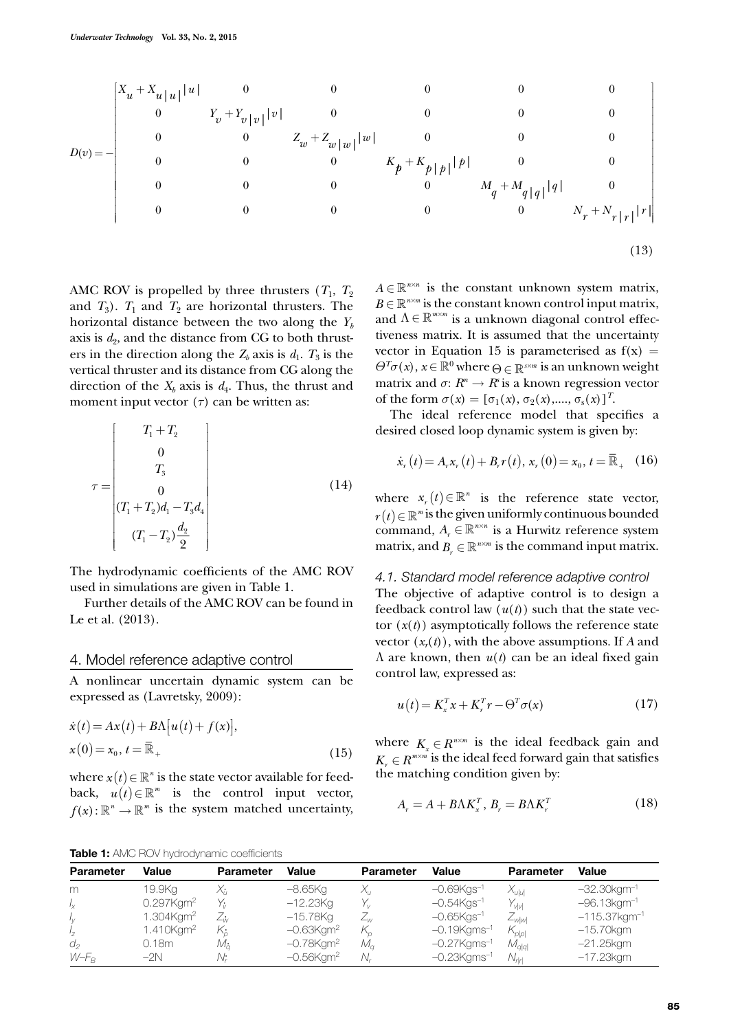$$
D(v) = -\begin{bmatrix} X_u + X_{u|u|} |u| & 0 & 0 & 0 & 0 & 0 \\ 0 & Y_v + Y_{v|v|} |v| & 0 & 0 & 0 & 0 \\ 0 & 0 & Z_w + Z_{w|w|} |w| & 0 & 0 & 0 \\ 0 & 0 & 0 & K_p + K_{p|p|} |p| & 0 & 0 \\ 0 & 0 & 0 & 0 & M_q + M_{q|q|} |q| & 0 \\ 0 & 0 & 0 & 0 & 0 & N_r + N_{r|r|} |r| \end{bmatrix}
$$
(13)

AMC ROV is propelled by three thrusters  $(T_1, T_2)$ and  $T_3$ ).  $T_1$  and  $T_2$  are horizontal thrusters. The horizontal distance between the two along the  $Y<sub>b</sub>$ axis is  $d_2$ , and the distance from CG to both thrusters in the direction along the  $Z_b$  axis is  $d_1$ .  $T_3$  is the vertical thruster and its distance from CG along the direction of the  $X_b$  axis is  $d_4$ . Thus, the thrust and moment input vector  $(τ)$  can be written as:

$$
\tau = \begin{bmatrix} T_1 + T_2 \\ 0 \\ T_3 \\ 0 \\ (T_1 + T_2)d_1 - T_3d_4 \\ (T_1 - T_2)\frac{d_2}{2} \end{bmatrix}
$$
 (14)

The hydrodynamic coefficients of the AMC ROV used in simulations are given in Table 1.

Further details of the AMC ROV can be found in Le et al. (2013).

#### 4. Model reference adaptive control

A nonlinear uncertain dynamic system can be expressed as (Lavretsky, 2009):

$$
\dot{x}(t) = Ax(t) + B\Lambda[u(t) + f(x)],
$$
  
\n
$$
x(0) = x_0, t = \overline{\mathbb{R}}_+
$$
\n(15)

where  $x(t) \in \mathbb{R}^n$  is the state vector available for feedback,  $u(t) \in \mathbb{R}^m$  is the control input vector,  $f(x): \mathbb{R}^n \to \mathbb{R}^m$  is the system matched uncertainty,

 $A \in \mathbb{R}^{n \times n}$  is the constant unknown system matrix,  $B \in \mathbb{R}^{n \times m}$  is the constant known control input matrix, and  $\Lambda \in \mathbb{R}^{m \times m}$  is a unknown diagonal control effectiveness matrix. It is assumed that the uncertainty vector in Equation 15 is parameterised as  $f(x) =$  $\Theta^T \sigma(x)$ ,  $x \in \mathbb{R}^0$  where  $\Theta \in \mathbb{R}^{s \times m}$  is an unknown weight matrix and  $\sigma: R^n \to R^s$  is a known regression vector of the form  $\sigma(x) = [\sigma_1(x), \sigma_2(x),..., \sigma_s(x)]^T$ .

The ideal reference model that specifies a desired closed loop dynamic system is given by:

$$
\dot{x}_r(t) = A_r x_r(t) + B_r r(t), x_r(0) = x_0, t = \bar{\mathbb{R}}_+ \quad (16)
$$

where  $x_r(t) \in \mathbb{R}^n$  is the reference state vector,  $r(t) \in \mathbb{R}^m$  is the given uniformly continuous bounded command,  $A_r \in \mathbb{R}^{n \times n}$  is a Hurwitz reference system matrix, and  $B_r \in \mathbb{R}^{n \times m}$  is the command input matrix.

#### *4.1. Standard model reference adaptive control*

The objective of adaptive control is to design a feedback control law  $(u(t))$  such that the state vector  $(x(t))$  asymptotically follows the reference state vector  $(x_r(t))$ , with the above assumptions. If *A* and Λ are known, then *u*(*t*) can be an ideal fixed gain control law, expressed as:

$$
u(t) = K_x^T x + K_r^T r - \Theta^T \sigma(x) \tag{17}
$$

where  $K_{\mathbf{x}} \in R^{n \times m}$  is the ideal feedback gain and  $K_r \in R^{\textit{m}\times\textit{m}}$  is the ideal feed forward gain that satisfies the matching condition given by:

$$
A_r = A + B\Lambda K_x^T, B_r = B\Lambda K_r^T
$$
\n(18)

**Table 1:** AMC ROV hydrodynamic coefficients

| <b>Parameter</b> | Value                    | <b>Parameter</b>   | Value                    | <b>Parameter</b> | Value                      | <b>Parameter</b>           | Value                       |
|------------------|--------------------------|--------------------|--------------------------|------------------|----------------------------|----------------------------|-----------------------------|
| m                | 19.9Kg                   | Χ÷,                | –8.65Ka                  |                  | $-0.69K$ gs <sup>-1</sup>  | $X_{u u }$                 | $-32.30$ kgm <sup>-1</sup>  |
| $I_X$            | $0.297$ Kgm <sup>2</sup> | Y÷.                | $-12.23Kq$               |                  | $-0.54$ Kgs <sup>-1</sup>  | $Y_{\vee \vee }$           | $-96.13$ kgm <sup>-1</sup>  |
| $I_{\rm V}$      | 1.304Kgm <sup>2</sup>    | Z.,                | –15.78Kg                 | $-\omega$        | $-0.65$ Kgs <sup>-1</sup>  | $Z_{\text{w w }}$          | $-115.37$ kgm <sup>-1</sup> |
| 17               | 1.410Kgm <sup>2</sup>    | K,                 | $-0.63$ Kgm <sup>2</sup> |                  | $-0.19$ Kgms <sup>-1</sup> | $\mathcal{K}_{\rho \rho }$ | $-15.70$ kgm                |
| d,               | 0.18m                    | $M_{\dot{\alpha}}$ | $-0.78$ Kgm <sup>2</sup> | $M_{\sigma}$     | $-0.27$ Kgms <sup>-1</sup> | $M_{q q }$                 | $-21.25$ kgm                |
| $W-F_B$          | $-2N$                    |                    | $-0.56$ Kam <sup>2</sup> |                  | $-0.23$ Kgms <sup>-1</sup> | $N_{\rm rh}$               | $-17.23$ kgm                |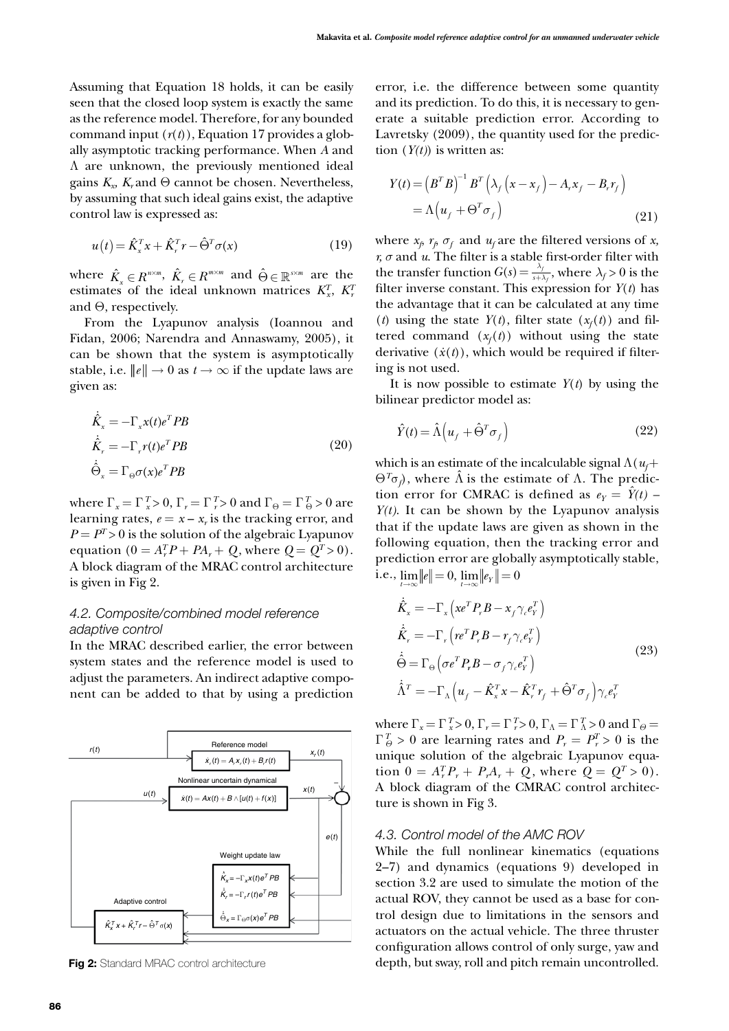Assuming that Equation 18 holds, it can be easily seen that the closed loop system is exactly the same as the reference model. Therefore, for any bounded command input  $(r(t))$ , Equation 17 provides a globally asymptotic tracking performance. When *A* and Λ are unknown, the previously mentioned ideal gains  $K_r$ ,  $K_r$  and  $\Theta$  cannot be chosen. Nevertheless, by assuming that such ideal gains exist, the adaptive control law is expressed as:

$$
u(t) = \hat{K}_x^T x + \hat{K}_r^T r - \hat{\Theta}^T \sigma(x)
$$
\n(19)

where  $\hat{K}_x \in R^{n \times m}$ ,  $\hat{K}_r \in R^{m \times m}$  and  $\hat{\Theta} \in \mathbb{R}^{s \times m}$  are the estimates of the ideal unknown matrices  $K_x^T$ ,  $K_y^T$ and Θ, respectively.

From the Lyapunov analysis (Ioannou and Fidan, 2006; Narendra and Annaswamy, 2005), it can be shown that the system is asymptotically stable, i.e.  $||e|| \rightarrow 0$  as  $t \rightarrow \infty$  if the update laws are given as:

$$
\dot{\hat{K}}_{x} = -\Gamma_{x} x(t) e^{T} P B
$$
\n
$$
\dot{\hat{K}}_{r} = -\Gamma_{r} r(t) e^{T} P B
$$
\n
$$
\dot{\hat{\Theta}}_{x} = \Gamma_{\Theta} \sigma(x) e^{T} P B
$$
\n(20)

where  $\Gamma_x = \Gamma_x^T > 0$ ,  $\Gamma_r = \Gamma_r^T > 0$  and  $\Gamma_\Theta = \Gamma_\Theta^T > 0$  are learning rates,  $e = x - x_r$  is the tracking error, and  $P = P<sup>T</sup> > 0$  is the solution of the algebraic Lyapunov equation ( $0 = A_r^T P + P A_r + Q$ , where  $Q = Q^T > 0$ ). A block diagram of the MRAC control architecture is given in Fig 2.

# *4.2. Composite/combined model reference adaptive control*

In the MRAC described earlier, the error between system states and the reference model is used to adjust the parameters. An indirect adaptive component can be added to that by using a prediction



error, i.e. the difference between some quantity and its prediction. To do this, it is necessary to generate a suitable prediction error. According to Lavretsky (2009), the quantity used for the prediction  $(Y(t))$  is written as:

$$
Y(t) = (BT B)-1 BT (\lambda_f (x - x_f) - A_r x_f - B_r r_f)
$$
  
=  $\Lambda (u_f + \Theta^T \sigma_f)$  (21)

where  $x_p$   $r_p$   $\sigma_f$  and  $u_f$  are the filtered versions of *x*, *r, σ* and *u*. The filter is a stable first-order filter with the transfer function  $G(s) = \frac{\lambda_f}{s + \lambda_f}$ , where  $\lambda_f > 0$  is the filter inverse constant. This expression for  $Y(t)$  has the advantage that it can be calculated at any time (*t*) using the state  $Y(t)$ , filter state  $(x_f(t))$  and filtered command  $(x_f(t))$  without using the state derivative  $(\dot{x}(t))$ , which would be required if filtering is not used.

It is now possible to estimate  $Y(t)$  by using the bilinear predictor model as:

$$
\hat{Y}(t) = \hat{\Lambda} \left( u_f + \hat{\Theta}^T \sigma_f \right) \tag{22}
$$

which is an estimate of the incalculable signal  $\Lambda(u_f +$  $\Theta^T \sigma_f$ ), where  $\hat{\Lambda}$  is the estimate of  $\Lambda$ . The prediction error for CMRAC is defined as  $e_Y = Y(t)$  – *Y(t)*. It can be shown by the Lyapunov analysis that if the update laws are given as shown in the following equation, then the tracking error and prediction error are globally asymptotically stable, i.e.,  $\lim ||e|| = 0$ ,  $\lim ||e_y|| = 0$ 

$$
\dot{\hat{K}}_{x} = -\Gamma_{x} \left( x e^{T} P_{r} B - x_{f} \gamma_{e} e_{Y}^{T} \right) \n\dot{\hat{K}}_{r} = -\Gamma_{r} \left( r e^{T} P_{r} B - r_{f} \gamma_{e} e_{Y}^{T} \right) \n\dot{\hat{\Theta}} = \Gamma_{\Theta} \left( \sigma e^{T} P_{r} B - \sigma_{f} \gamma_{e} e_{Y}^{T} \right) \n\dot{\hat{\Lambda}}^{T} = -\Gamma_{\Lambda} \left( u_{f} - \hat{K}_{x}^{T} x - \hat{K}_{r}^{T} r_{f} + \hat{\Theta}^{T} \sigma_{f} \right) \gamma_{e} e_{Y}^{T}
$$
\n(23)

where  $\Gamma_x = \Gamma_x^T > 0$ ,  $\Gamma_r = \Gamma_r^T > 0$ ,  $\Gamma_\Lambda = \Gamma_\Lambda^T > 0$  and  $\Gamma_\Theta =$  $\Gamma_{\theta}^{T} > 0$  are learning rates and  $P_{r} = P_{r}^{T} > 0$  is the unique solution of the algebraic Lyapunov equation  $0 = A_r^T P_r + P_r A_r + Q$ , where  $Q = Q^T > 0$ ). A block diagram of the CMRAC control architecture is shown in Fig 3.

#### *4.3. Control model of the AMC ROV*

While the full nonlinear kinematics (equations 2–7) and dynamics (equations 9) developed in section 3.2 are used to simulate the motion of the actual ROV, they cannot be used as a base for control design due to limitations in the sensors and actuators on the actual vehicle. The three thruster configuration allows control of only surge, yaw and Fig 2: Standard MRAC control architecture depth, but sway, roll and pitch remain uncontrolled.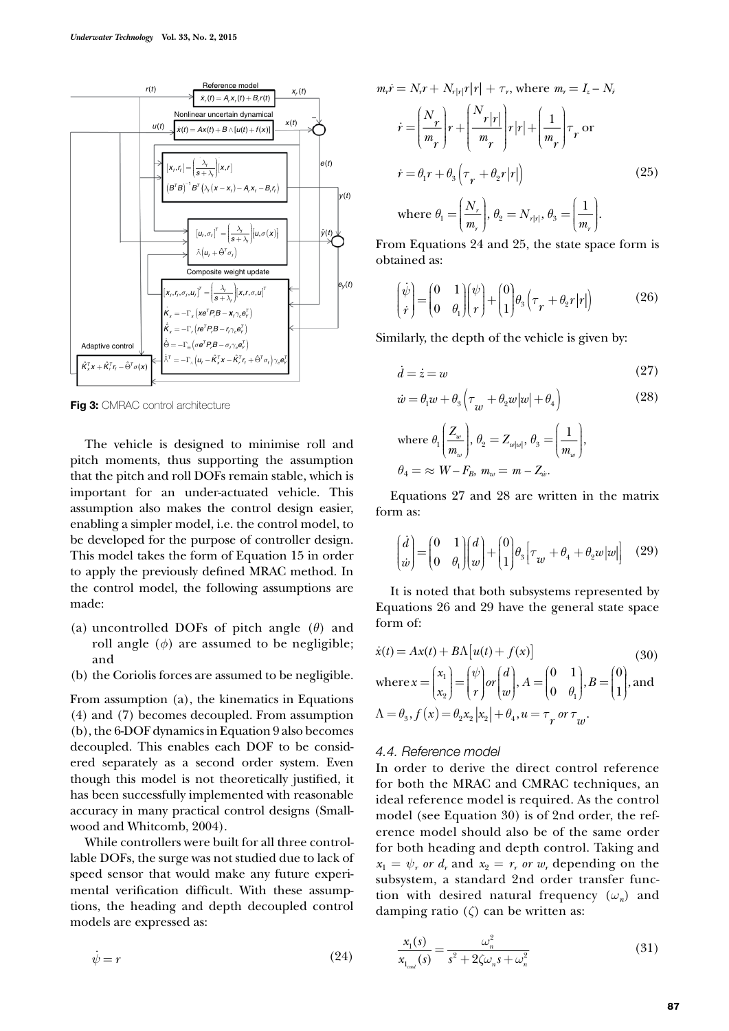

**Fig 3: CMRAC control architecture** 

The vehicle is designed to minimise roll and pitch moments, thus supporting the assumption that the pitch and roll DOFs remain stable, which is important for an under-actuated vehicle. This assumption also makes the control design easier, enabling a simpler model, i.e. the control model, to be developed for the purpose of controller design. This model takes the form of Equation 15 in order to apply the previously defined MRAC method. In the control model, the following assumptions are made:

- (a) uncontrolled DOFs of pitch angle (*θ*) and roll angle  $(\phi)$  are assumed to be negligible; and
- (b) the Coriolis forces are assumed to be negligible.

From assumption (a), the kinematics in Equations (4) and (7) becomes decoupled. From assumption (b), the 6-DOF dynamics in Equation 9 also becomes decoupled. This enables each DOF to be considered separately as a second order system. Even though this model is not theoretically justified, it has been successfully implemented with reasonable accuracy in many practical control designs (Smallwood and Whitcomb, 2004).

While controllers were built for all three controllable DOFs, the surge was not studied due to lack of speed sensor that would make any future experimental verification difficult. With these assumptions, the heading and depth decoupled control models are expressed as:

$$
\dot{\psi} = r \tag{24}
$$

$$
m_r \dot{r} = N_r r + N_{r|r|} r|r| + \tau_r, \text{ where } m_r = I_z - N_r
$$
  
\n
$$
\dot{r} = \left(\frac{N_r}{m_r}\right) r + \left(\frac{N_r|r|}{m_r}\right) r|r| + \left(\frac{1}{m_r}\right) \tau_r \text{ or}
$$
  
\n
$$
\dot{r} = \theta_1 r + \theta_3 \left(\tau_r + \theta_2 r|r|\right) \tag{25}
$$
  
\nwhere  $\theta_1 = \left(\frac{N_r}{m_r}\right), \theta_2 = N_{r|r|}, \theta_3 = \left(\frac{1}{m_r}\right).$ 

From Equations 24 and 25, the state space form is obtained as:

 $\overline{\mathcal{L}}$ 

$$
\begin{pmatrix} \dot{\psi} \\ \dot{r} \end{pmatrix} = \begin{pmatrix} 0 & 1 \\ 0 & \theta_1 \end{pmatrix} \begin{pmatrix} \psi \\ r \end{pmatrix} + \begin{pmatrix} 0 \\ 1 \end{pmatrix} \theta_3 \left( \tau_r + \theta_2 r |r| \right) \tag{26}
$$

Similarly, the depth of the vehicle is given by:

$$
\dot{d} = \dot{z} = w \tag{27}
$$

$$
\dot{w} = \theta_1 w + \theta_3 \left( \tau_{w} + \theta_2 w |w| + \theta_4 \right) \tag{28}
$$

where 
$$
\theta_1 \left( \frac{Z_w}{m_w} \right), \theta_2 = Z_{w|w|}, \theta_3 = \left( \frac{1}{m_w} \right),
$$
  
 $\theta_4 = \approx W - F_B, m_w = m - Z_w.$ 

Equations 27 and 28 are written in the matrix form as:

$$
\begin{pmatrix} \dot{d} \\ \dot{w} \end{pmatrix} = \begin{pmatrix} 0 & 1 \\ 0 & \theta_1 \end{pmatrix} \begin{pmatrix} d \\ w \end{pmatrix} + \begin{pmatrix} 0 \\ 1 \end{pmatrix} \theta_3 \left[ \tau_w + \theta_4 + \theta_2 w |w| \right] \quad (29)
$$

It is noted that both subsystems represented by Equations 26 and 29 have the general state space form of:

$$
\dot{x}(t) = Ax(t) + B\Lambda[u(t) + f(x)] \qquad (30)
$$
\n
$$
\text{where } x = \begin{pmatrix} x_1 \\ x_2 \end{pmatrix} = \begin{pmatrix} \psi \\ r \end{pmatrix} or \begin{pmatrix} d \\ w \end{pmatrix}, A = \begin{pmatrix} 0 & 1 \\ 0 & \theta_1 \end{pmatrix}, B = \begin{pmatrix} 0 \\ 1 \end{pmatrix}, \text{and}
$$
\n
$$
\Lambda = \theta_3, f(x) = \theta_2 x_2 |x_2| + \theta_4, u = \tau_r \text{ or } \tau_w.
$$

#### *4.4. Reference model*

In order to derive the direct control reference for both the MRAC and CMRAC techniques, an ideal reference model is required. As the control model (see Equation 30) is of 2nd order, the reference model should also be of the same order for both heading and depth control. Taking and  $x_1 = \psi_r$  *or*  $d_r$  and  $x_2 = r_r$  *or*  $w_r$  depending on the subsystem, a standard 2nd order transfer function with desired natural frequency  $(\omega_n)$  and damping ratio (*ζ*) can be written as:

$$
\frac{x_1(s)}{x_{1_{\text{end}}}(s)} = \frac{\omega_n^2}{s^2 + 2\zeta\omega_n s + \omega_n^2}
$$
(31)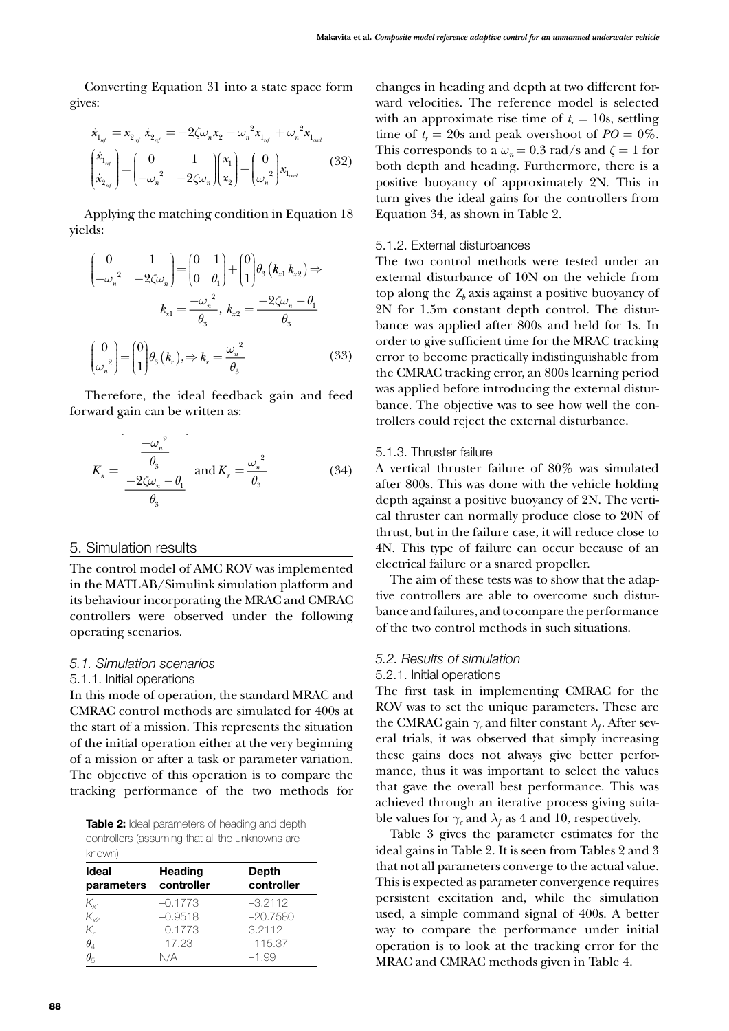Converting Equation 31 into a state space form gives:

$$
\dot{x}_{1_{n'j}} = x_{2_{n'j}} \dot{x}_{2_{n'j}} = -2\zeta \omega_n x_2 - \omega_n^2 x_{1_{n'j}} + \omega_n^2 x_{1_{end}}
$$
\n
$$
\begin{pmatrix}\n\dot{x}_{1_{n'j}} \\
\dot{x}_{2_{n'j}}\n\end{pmatrix} = \begin{pmatrix}\n0 & 1 \\
-\omega_n^2 & -2\zeta \omega_n\n\end{pmatrix} \begin{pmatrix}\nx_1 \\
x_2\n\end{pmatrix} + \begin{pmatrix}\n0 \\
\omega_n^2\n\end{pmatrix} x_{1_{end}}
$$
\n(32)

Applying the matching condition in Equation 18 yields:

$$
\begin{pmatrix}\n0 & 1 \\
-\omega_n^2 & -2\zeta\omega_n\n\end{pmatrix} = \begin{pmatrix}\n0 & 1 \\
0 & \theta_1\n\end{pmatrix} + \begin{pmatrix}\n0 \\
1\n\end{pmatrix} \theta_3 (k_{x1} k_{x2}) \Rightarrow
$$
\n
$$
k_{x1} = \frac{-\omega_n^2}{\theta_3}, \ k_{x2} = \frac{-2\zeta\omega_n - \theta_1}{\theta_3}
$$
\n
$$
\begin{pmatrix}\n0 \\
\omega_n^2\n\end{pmatrix} = \begin{pmatrix}\n0 \\
1\n\end{pmatrix} \theta_3 (k_r), \Rightarrow k_r = \frac{\omega_n^2}{\theta_3}
$$
\n(33)

Therefore, the ideal feedback gain and feed forward gain can be written as:

$$
K_{x} = \begin{bmatrix} \frac{-\omega_{n}^{2}}{\theta_{3}}\\ -\frac{2\zeta\omega_{n}-\theta_{1}}{\theta_{3}} \end{bmatrix} \text{ and } K_{r} = \frac{\omega_{n}^{2}}{\theta_{3}}
$$
(34)

# 5. Simulation results

The control model of AMC ROV was implemented in the MATLAB/Simulink simulation platform and its behaviour incorporating the MRAC and CMRAC controllers were observed under the following operating scenarios.

#### *5.1. Simulation scenarios*

#### 5.1.1. Initial operations

In this mode of operation, the standard MRAC and CMRAC control methods are simulated for 400s at the start of a mission. This represents the situation of the initial operation either at the very beginning of a mission or after a task or parameter variation. The objective of this operation is to compare the tracking performance of the two methods for

**Table 2:** Ideal parameters of heading and depth controllers (assuming that all the unknowns are known)

| <b>Ideal</b><br>parameters | <b>Heading</b><br>controller | <b>Depth</b><br>controller |  |
|----------------------------|------------------------------|----------------------------|--|
| $K_{x1}$                   | $-0.1773$                    | $-3.2112$                  |  |
| $K_{x2}$                   | $-0.9518$                    | $-20.7580$                 |  |
| $K_r$                      | 0.1773                       | 3.2112                     |  |
| $\theta_4$                 | $-17.23$                     | $-115.37$                  |  |
| $\theta_{5}$               | N/A                          | $-1.99$                    |  |

changes in heading and depth at two different forward velocities. The reference model is selected with an approximate rise time of  $t_r = 10$ s, settling time of  $t_s = 20$ s and peak overshoot of  $PO = 0\%$ . This corresponds to a  $\omega_n = 0.3$  rad/s and  $\zeta = 1$  for both depth and heading. Furthermore, there is a positive buoyancy of approximately 2N. This in turn gives the ideal gains for the controllers from Equation 34, as shown in Table 2.

#### 5.1.2. External disturbances

The two control methods were tested under an external disturbance of 10N on the vehicle from top along the  $Z<sub>b</sub>$  axis against a positive buoyancy of 2N for 1.5m constant depth control. The disturbance was applied after 800s and held for 1s. In order to give sufficient time for the MRAC tracking error to become practically indistinguishable from the CMRAC tracking error, an 800s learning period was applied before introducing the external disturbance. The objective was to see how well the controllers could reject the external disturbance.

#### 5.1.3. Thruster failure

A vertical thruster failure of 80% was simulated after 800s. This was done with the vehicle holding depth against a positive buoyancy of 2N. The vertical thruster can normally produce close to 20N of thrust, but in the failure case, it will reduce close to 4N. This type of failure can occur because of an electrical failure or a snared propeller.

The aim of these tests was to show that the adaptive controllers are able to overcome such disturbance and failures, and to compare the performance of the two control methods in such situations.

#### *5.2. Results of simulation*

#### 5.2.1. Initial operations

The first task in implementing CMRAC for the ROV was to set the unique parameters. These are the CMRAC gain  $\gamma_c$  and filter constant  $\lambda_f$ . After several trials, it was observed that simply increasing these gains does not always give better performance, thus it was important to select the values that gave the overall best performance. This was achieved through an iterative process giving suitable values for  $\gamma_c$  and  $\lambda_f$  as 4 and 10, respectively.

Table 3 gives the parameter estimates for the ideal gains in Table 2. It is seen from Tables 2 and 3 that not all parameters converge to the actual value. This is expected as parameter convergence requires persistent excitation and, while the simulation used, a simple command signal of 400s. A better way to compare the performance under initial operation is to look at the tracking error for the MRAC and CMRAC methods given in Table 4.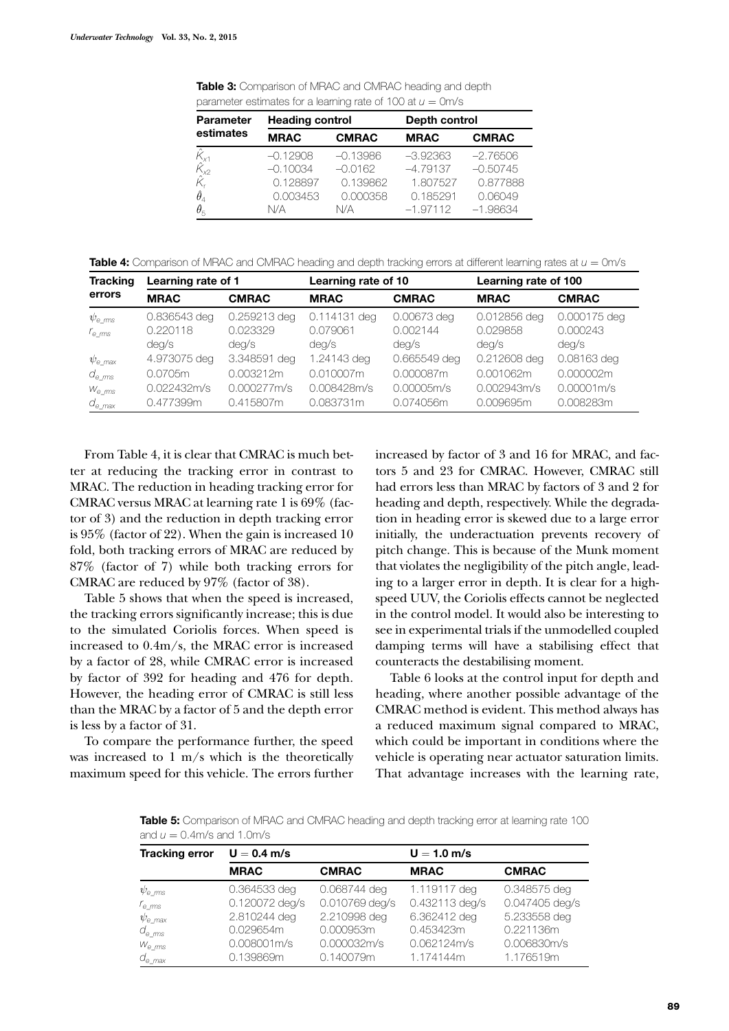**Table 3:** Comparison of MRAC and CMRAC heading and depth parameter estimates for a learning rate of 100 at  $u = 0$ m/s

| <b>Parameter</b>                                                               | <b>Heading control</b> |              | Depth control |              |  |
|--------------------------------------------------------------------------------|------------------------|--------------|---------------|--------------|--|
| estimates                                                                      | <b>MRAC</b>            | <b>CMRAC</b> | <b>MRAC</b>   | <b>CMRAC</b> |  |
| $\hat{K}_{x1}$                                                                 | $-0.12908$             | $-0.13986$   | $-3.92363$    | $-2.76506$   |  |
| $\hat{K}_{\!\scriptscriptstyle \chi\!2} \ \hat{K}_{\!\scriptscriptstyle \chi}$ | $-0.10034$             | $-0.0162$    | $-4.79137$    | $-0.50745$   |  |
|                                                                                | 0.128897               | 0.139862     | 1.807527      | 0.877888     |  |
| $\hat{\theta}_4$                                                               | 0.003453               | 0.000358     | 0.185291      | 0.06049      |  |
| $\hat{\theta}_5$                                                               | N/A                    | N/A          | $-1.97112$    | $-1.98634$   |  |

**Table 4:** Comparison of MRAC and CMRAC heading and depth tracking errors at different learning rates at *u* = 0m/s

| <b>Tracking</b>    | Learning rate of 1 |                   | Learning rate of 10 |                   | Learning rate of 100 |                   |
|--------------------|--------------------|-------------------|---------------------|-------------------|----------------------|-------------------|
| errors             | <b>MRAC</b>        | <b>CMRAC</b>      | <b>MRAC</b>         | <b>CMRAC</b>      | <b>MRAC</b>          | <b>CMRAC</b>      |
| $\psi_{\rm e\ ms}$ | 0.836543 deg       | 0.259213 deg      | 0.114131 deg        | 0.00673 deg       | 0.012856 deg         | 0.000175 deg      |
| $r_{\rm e\ ms}$    | 0.220118<br>deg/s  | 0.023329<br>deq/s | 0.079061<br>deg/s   | 0.002144<br>deg/s | 0.029858<br>deq/s    | 0.000243<br>deg/s |
| $\psi_{\rm e}$ max | 4.973075 deg       | 3.348591 deg      | 1.24143 deg         | 0.665549 deg      | 0.212608 deg         | 0.08163 deg       |
| $d_{\rm e\ ms}$    | 0.0705m            | 0.003212m         | 0.010007m           | 0.000087m         | 0.001062m            | 0.000002m         |
| $W_{e\ rms}$       | 0.022432m/s        | 0.000277m/s       | 0.008428m/s         | 0.00005m/s        | 0.002943m/s          | 0.00001m/s        |
| $d_{e\_max}$       | 0.477399m          | 0.415807m         | 0.083731m           | 0.074056m         | 0.009695m            | 0.008283m         |

From Table 4, it is clear that CMRAC is much better at reducing the tracking error in contrast to MRAC. The reduction in heading tracking error for CMRAC versus MRAC at learning rate 1 is 69% (factor of 3) and the reduction in depth tracking error is 95% (factor of 22). When the gain is increased 10 fold, both tracking errors of MRAC are reduced by 87% (factor of 7) while both tracking errors for CMRAC are reduced by 97% (factor of 38).

Table 5 shows that when the speed is increased, the tracking errors significantly increase; this is due to the simulated Coriolis forces. When speed is increased to 0.4m/s, the MRAC error is increased by a factor of 28, while CMRAC error is increased by factor of 392 for heading and 476 for depth. However, the heading error of CMRAC is still less than the MRAC by a factor of 5 and the depth error is less by a factor of 31.

To compare the performance further, the speed was increased to 1 m/s which is the theoretically maximum speed for this vehicle. The errors further

increased by factor of 3 and 16 for MRAC, and factors 5 and 23 for CMRAC. However, CMRAC still had errors less than MRAC by factors of 3 and 2 for heading and depth, respectively. While the degradation in heading error is skewed due to a large error initially, the underactuation prevents recovery of pitch change. This is because of the Munk moment that violates the negligibility of the pitch angle, leading to a larger error in depth. It is clear for a highspeed UUV, the Coriolis effects cannot be neglected in the control model. It would also be interesting to see in experimental trials if the unmodelled coupled damping terms will have a stabilising effect that counteracts the destabilising moment.

Table 6 looks at the control input for depth and heading, where another possible advantage of the CMRAC method is evident. This method always has a reduced maximum signal compared to MRAC, which could be important in conditions where the vehicle is operating near actuator saturation limits. That advantage increases with the learning rate,

**Table 5:** Comparison of MRAC and CMRAC heading and depth tracking error at learning rate 100 and  $u = 0.4$ m/s and 1.0m/s

| ש ושו                 |                |                |                |                |  |  |
|-----------------------|----------------|----------------|----------------|----------------|--|--|
| <b>Tracking error</b> | $U = 0.4$ m/s  |                | $U = 1.0$ m/s  |                |  |  |
|                       | <b>MRAC</b>    | <b>CMRAC</b>   | <b>MRAC</b>    | <b>CMRAC</b>   |  |  |
| $\psi_{\rm e\ ms}$    | 0.364533 deg   | 0.068744 deg   | 1.119117 deg   | 0.348575 deg   |  |  |
| r <sub>e_ms</sub>     | 0.120072 deg/s | 0.010769 deg/s | 0.432113 deg/s | 0.047405 deg/s |  |  |
| $\psi_{\rm e\_max}$   | 2.810244 deg   | 2.210998 deg   | 6.362412 deg   | 5.233558 deg   |  |  |
| $d_{e\ ms}$           | 0.029654m      | 0.000953m      | 0.453423m      | 0.221136m      |  |  |
| $W_{e\ ms}$           | 0.008001m/s    | 0.000032m/s    | 0.062124m/s    | 0.006830m/s    |  |  |
| $d_{e \ max}$         | 0.139869m      | 0.140079m      | 1.174144m      | 1.176519m      |  |  |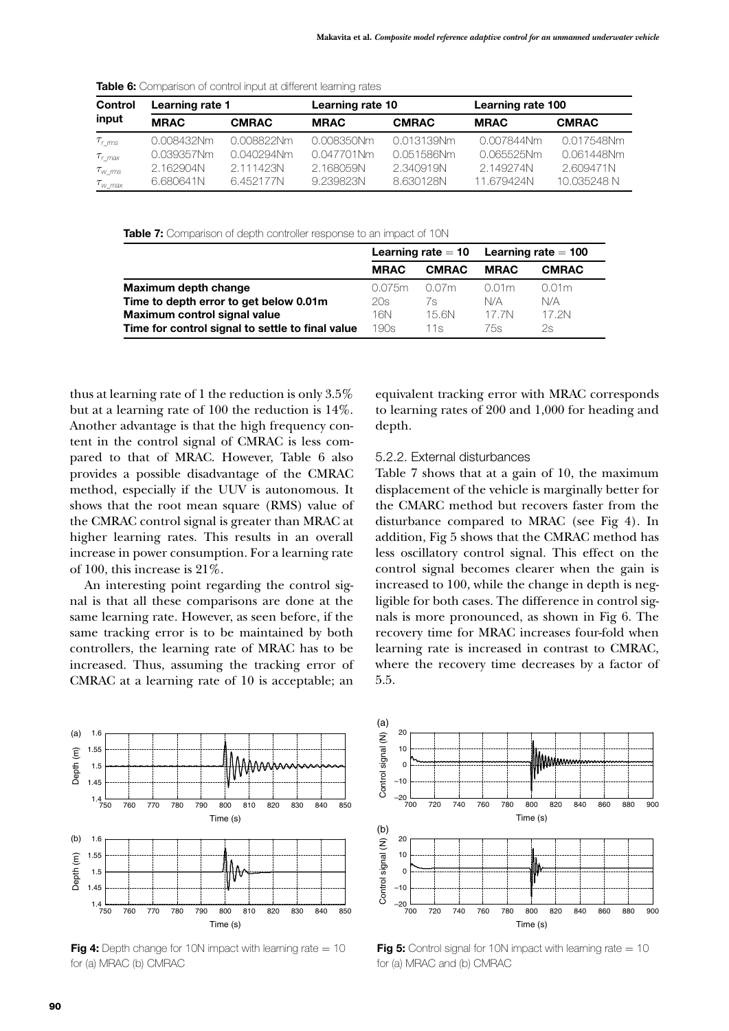| Control                                              | Learning rate 1 |               | Learning rate 10 |              | Learning rate 100 |              |
|------------------------------------------------------|-----------------|---------------|------------------|--------------|-------------------|--------------|
| input                                                | <b>MRAC</b>     | <b>CMRAC</b>  | <b>MRAC</b>      | <b>CMRAC</b> | <b>MRAC</b>       | <b>CMRAC</b> |
| $\tau_{\text{r}}$ ms                                 | 0.008432Nm      | 0.008822Nm    | 0.008350Nm       | 0.013139Nm   | 0.007844Nm        | 0.017548Nm   |
| $\tau$ <sub>r</sub> $_{max}$                         | 0.039357Nm      | $0.040294$ Nm | $0.047701$ Nm    | 0.051586Nm   | 0.065525Nm        | 0.061448Nm   |
| $\tau_{\scriptscriptstyle W~\!m\!s}$                 | 2.162904N       | 2.111423N     | 2.16805.9N       | 2.340919N    | 2.149274N         | 2.609471N    |
| $\tau_{\scriptscriptstyle W~\scriptscriptstyle max}$ | 6.680641N       | 6.452177N     | 9.239823N        | 8.630128N    | 11.679424N        | 10.035248 N  |

**Table 6:** Comparison of control input at different learning rates

Table 7: Comparison of depth controller response to an impact of 10N

|                                                  |             |              | Learning rate $= 10$ Learning rate $= 100$ |              |
|--------------------------------------------------|-------------|--------------|--------------------------------------------|--------------|
|                                                  | <b>MRAC</b> | <b>CMRAC</b> | <b>MRAC</b>                                | <b>CMRAC</b> |
| Maximum depth change                             | 0.075m      | 0.07m        | 0.01m                                      | 0.01m        |
| Time to depth error to get below 0.01m           | 20s         | 7s           | N/A                                        | N/A          |
| Maximum control signal value                     | 16N         | 15 BN        | 17 7N                                      | 17 2N        |
| Time for control signal to settle to final value | 190s        | 11s          | 75s                                        | 2s           |

thus at learning rate of 1 the reduction is only 3.5% but at a learning rate of 100 the reduction is 14%. Another advantage is that the high frequency content in the control signal of CMRAC is less compared to that of MRAC. However, Table 6 also provides a possible disadvantage of the CMRAC method, especially if the UUV is autonomous. It shows that the root mean square (RMS) value of the CMRAC control signal is greater than MRAC at higher learning rates. This results in an overall increase in power consumption. For a learning rate of 100, this increase is 21%.

An interesting point regarding the control signal is that all these comparisons are done at the same learning rate. However, as seen before, if the same tracking error is to be maintained by both controllers, the learning rate of MRAC has to be increased. Thus, assuming the tracking error of CMRAC at a learning rate of 10 is acceptable; an



**Fig 4:** Depth change for 10N impact with learning rate = 10 for (a) MRAC (b) CMRAC

equivalent tracking error with MRAC corresponds to learning rates of 200 and 1,000 for heading and depth.

#### 5.2.2. External disturbances

Table 7 shows that at a gain of 10, the maximum displacement of the vehicle is marginally better for the CMARC method but recovers faster from the disturbance compared to MRAC (see Fig 4). In addition, Fig 5 shows that the CMRAC method has less oscillatory control signal. This effect on the control signal becomes clearer when the gain is increased to 100, while the change in depth is negligible for both cases. The difference in control signals is more pronounced, as shown in Fig 6. The recovery time for MRAC increases four-fold when learning rate is increased in contrast to CMRAC, where the recovery time decreases by a factor of 5.5.



**Fig 5:** Control signal for 10N impact with learning rate = 10 for (a) MRAC and (b) CMRAC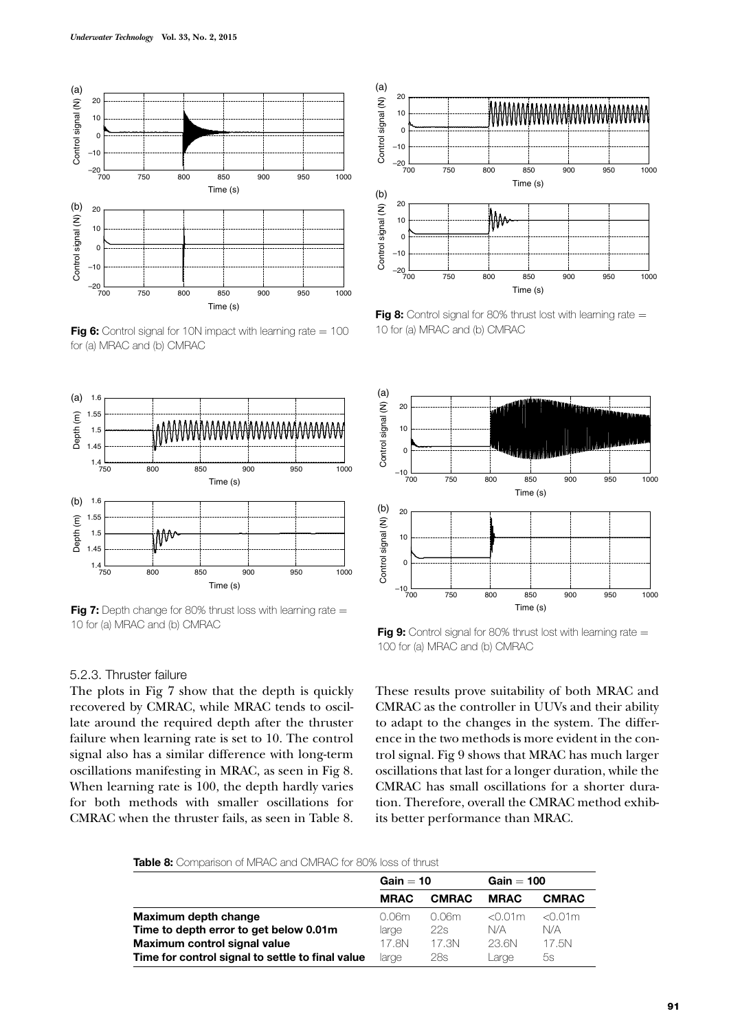

**Fig 6:** Control signal for 10N impact with learning rate = 100 for (a) MRAC and (b) CMRAC



**Fig 7:** Depth change for 80% thrust loss with learning rate = 10 for (a) MRAC and (b) CMRAC

#### 5.2.3. Thruster failure

The plots in Fig 7 show that the depth is quickly recovered by CMRAC, while MRAC tends to oscillate around the required depth after the thruster failure when learning rate is set to 10. The control signal also has a similar difference with long-term oscillations manifesting in MRAC, as seen in Fig 8. When learning rate is 100, the depth hardly varies for both methods with smaller oscillations for CMRAC when the thruster fails, as seen in Table 8.



**Fig 8:** Control signal for 80% thrust lost with learning rate = 10 for (a) MRAC and (b) CMRAC



**Fig 9:** Control signal for 80% thrust lost with learning rate = 100 for (a) MRAC and (b) CMRAC

These results prove suitability of both MRAC and CMRAC as the controller in UUVs and their ability to adapt to the changes in the system. The difference in the two methods is more evident in the control signal. Fig 9 shows that MRAC has much larger oscillations that last for a longer duration, while the CMRAC has small oscillations for a shorter duration. Therefore, overall the CMRAC method exhibits better performance than MRAC.

**Table 8:** Comparison of MRAC and CMRAC for 80% loss of thrust

|                                                  | $Gain = 10$ |              | $Gain = 100$ |              |
|--------------------------------------------------|-------------|--------------|--------------|--------------|
|                                                  | <b>MRAC</b> | <b>CMRAC</b> | <b>MRAC</b>  | <b>CMRAC</b> |
| Maximum depth change                             | 0.06m       | 0.06m        | $<$ 0.01 $m$ | $<$ 0.01 $m$ |
| Time to depth error to get below 0.01m           | large       | 22s          | N/A          | N/A          |
| Maximum control signal value                     | 17.8N       | 17.3N        | 23.6N        | 17.5N        |
| Time for control signal to settle to final value | large       | 28s          | Large        | 5s           |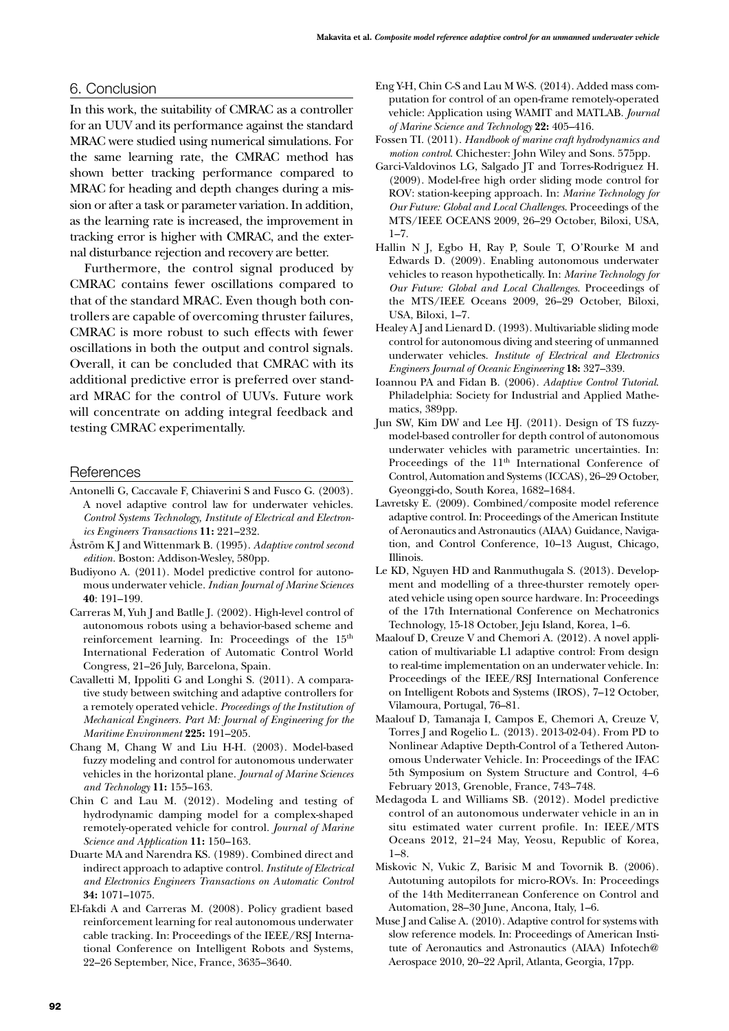# 6. Conclusion

In this work, the suitability of CMRAC as a controller for an UUV and its performance against the standard MRAC were studied using numerical simulations. For the same learning rate, the CMRAC method has shown better tracking performance compared to MRAC for heading and depth changes during a mission or after a task or parameter variation. In addition, as the learning rate is increased, the improvement in tracking error is higher with CMRAC, and the external disturbance rejection and recovery are better.

Furthermore, the control signal produced by CMRAC contains fewer oscillations compared to that of the standard MRAC. Even though both controllers are capable of overcoming thruster failures, CMRAC is more robust to such effects with fewer oscillations in both the output and control signals. Overall, it can be concluded that CMRAC with its additional predictive error is preferred over standard MRAC for the control of UUVs. Future work will concentrate on adding integral feedback and testing CMRAC experimentally.

#### **References**

- Antonelli G, Caccavale F, Chiaverini S and Fusco G. (2003). A novel adaptive control law for underwater vehicles. *Control Systems Technology, Institute of Electrical and Electronics Engineers Transactions* **11:** 221–232.
- Åström K J and Wittenmark B. (1995). *Adaptive control second edition.* Boston: Addison-Wesley, 580pp.
- Budiyono A. (2011). Model predictive control for autonomous underwater vehicle. *Indian Journal of Marine Sciences*  **40**: 191–199.
- Carreras M, Yuh J and Batlle J. (2002). High-level control of autonomous robots using a behavior-based scheme and reinforcement learning. In: Proceedings of the 15<sup>th</sup> International Federation of Automatic Control World Congress, 21–26 July, Barcelona, Spain.
- Cavalletti M, Ippoliti G and Longhi S. (2011). A comparative study between switching and adaptive controllers for a remotely operated vehicle. *Proceedings of the Institution of Mechanical Engineers. Part M: Journal of Engineering for the Maritime Environment* **225:** 191–205.
- Chang M, Chang W and Liu H-H. (2003). Model-based fuzzy modeling and control for autonomous underwater vehicles in the horizontal plane. *Journal of Marine Sciences and Technology* **11:** 155–163.
- Chin C and Lau M. (2012). Modeling and testing of hydrodynamic damping model for a complex-shaped remotely-operated vehicle for control. *Journal of Marine Science and Application* **11:** 150–163.
- Duarte MA and Narendra KS. (1989). Combined direct and indirect approach to adaptive control. *Institute of Electrical and Electronics Engineers Transactions on Automatic Control*  **34:** 1071–1075.
- El-fakdi A and Carreras M. (2008). Policy gradient based reinforcement learning for real autonomous underwater cable tracking. In: Proceedings of the IEEE/RSJ International Conference on Intelligent Robots and Systems, 22–26 September, Nice, France, 3635–3640.
- Eng Y-H, Chin C-S and Lau M W-S. (2014). Added mass computation for control of an open-frame remotely-operated vehicle: Application using WAMIT and MATLAB. *Journal of Marine Science and Technology* **22:** 405–416.
- Fossen TI. (2011). *Handbook of marine craft hydrodynamics and motion control*. Chichester: John Wiley and Sons. 575pp.
- Garci-Valdovinos LG, Salgado JT and Torres-Rodriguez H. (2009). Model-free high order sliding mode control for ROV: station-keeping approach. In: *Marine Technology for Our Future: Global and Local Challenges*. Proceedings of the MTS/IEEE OCEANS 2009, 26–29 October, Biloxi, USA,  $1 - 7$ .
- Hallin N J, Egbo H, Ray P, Soule T, O'Rourke M and Edwards D. (2009). Enabling autonomous underwater vehicles to reason hypothetically. In: *Marine Technology for Our Future: Global and Local Challenges*. Proceedings of the MTS/IEEE Oceans 2009, 26–29 October, Biloxi, USA, Biloxi, 1–7.
- Healey A J and Lienard D. (1993). Multivariable sliding mode control for autonomous diving and steering of unmanned underwater vehicles. *Institute of Electrical and Electronics Engineers Journal of Oceanic Engineering* **18:** 327–339.
- Ioannou PA and Fidan B. (2006). *Adaptive Control Tutorial*. Philadelphia: Society for Industrial and Applied Mathematics, 389pp.
- Jun SW, Kim DW and Lee HJ. (2011). Design of TS fuzzymodel-based controller for depth control of autonomous underwater vehicles with parametric uncertainties. In: Proceedings of the 11<sup>th</sup> International Conference of Control, Automation and Systems (ICCAS), 26–29 October, Gyeonggi-do, South Korea, 1682–1684.
- Lavretsky E. (2009). Combined/composite model reference adaptive control. In: Proceedings of the American Institute of Aeronautics and Astronautics (AIAA) Guidance, Navigation, and Control Conference, 10–13 August, Chicago, Illinois.
- Le KD, Nguyen HD and Ranmuthugala S. (2013). Development and modelling of a three-thurster remotely operated vehicle using open source hardware*.* In: Proceedings of the 17th International Conference on Mechatronics Technology, 15-18 October, Jeju Island, Korea, 1–6.
- Maalouf D, Creuze V and Chemori A. (2012). A novel application of multivariable L1 adaptive control: From design to real-time implementation on an underwater vehicle. In: Proceedings of the IEEE/RSJ International Conference on Intelligent Robots and Systems (IROS), 7–12 October, Vilamoura, Portugal, 76–81.
- Maalouf D, Tamanaja I, Campos E, Chemori A, Creuze V, Torres J and Rogelio L. (2013). 2013-02-04). From PD to Nonlinear Adaptive Depth-Control of a Tethered Autonomous Underwater Vehicle. In: Proceedings of the IFAC 5th Symposium on System Structure and Control, 4–6 February 2013, Grenoble, France, 743–748.
- Medagoda L and Williams SB. (2012). Model predictive control of an autonomous underwater vehicle in an in situ estimated water current profile. In: IEEE/MTS Oceans 2012, 21–24 May, Yeosu, Republic of Korea, 1–8.
- Miskovic N, Vukic Z, Barisic M and Tovornik B. (2006). Autotuning autopilots for micro-ROVs. In: Proceedings of the 14th Mediterranean Conference on Control and Automation, 28–30 June, Ancona, Italy, 1–6.
- Muse J and Calise A. (2010). Adaptive control for systems with slow reference models. In: Proceedings of American Institute of Aeronautics and Astronautics (AIAA) Infotech@ Aerospace 2010, 20–22 April, Atlanta, Georgia, 17pp.